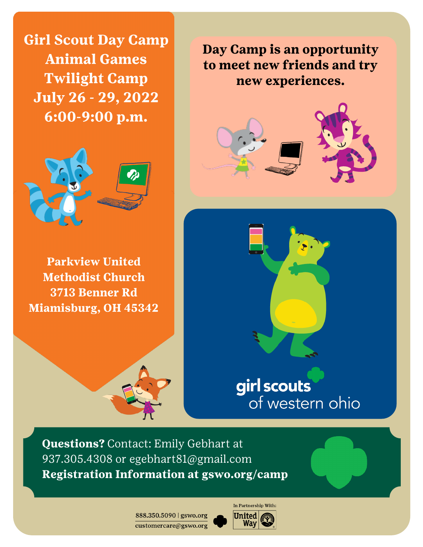**Girl Scout Day Camp Animal Games Twilight Camp July 26 - 29, 2022** 6:00-9:00 p.m.



**Parkview United Methodist Church** 3713 Benner Rd **Miamisburg, OH 45342** 







## girl scouts of western ohio

**Questions?** Contact: Emily Gebhart at 937.305.4308 or egebhart81@gmail.com Registration Information at gswo.org/camp

> 888.350.5090 | gswo.org customercare@gswo.org